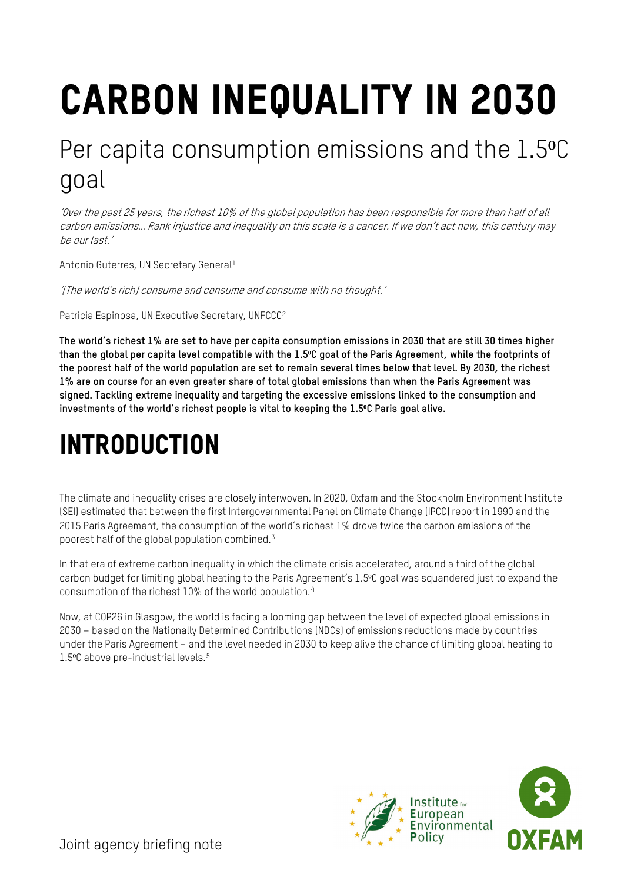# Carbon inequality in 2030

## Per capita consumption emissions and the 1.5°C goal

'Over the past 25 years, the richest 10% of the global population has been responsible for more than half of all carbon emissions… Rank injustice and inequality on this scale is a cancer. If we don't act now, this century may be our last.'

Antonio Guterres, UN Secretary General<sup>[1](#page-9-0)</sup>

'[The world's rich] consume and consume and consume with no thought.'

Patricia Espinosa, UN Executive Secretary, UNFCCC<sup>2</sup>

**The world's richest 1% are set to have per capita consumption emissions in 2030 that are still 30 times higher than the global per capita level compatible with the 1.5⁰C goal of the Paris Agreement, while the footprints of the poorest half of the world population are set to remain several times below that level. By 2030, the richest 1% are on course for an even greater share of total global emissions than when the Paris Agreement was signed. Tackling extreme inequality and targeting the excessive emissions linked to the consumption and investments of the world's richest people is vital to keeping the 1.5⁰C Paris goal alive.** 

# INTRODUCTION

The climate and inequality crises are closely interwoven. In 2020, Oxfam and the Stockholm Environment Institute (SEI) estimated that between the first Intergovernmental Panel on Climate Change (IPCC) report in 1990 and the 2015 Paris Agreement, the consumption of the world's richest 1% drove twice the carbon emissions of the poorest half of the global population combined.[3](#page-9-2)

In that era of extreme carbon inequality in which the climate crisis accelerated, around a third of the global carbon budget for limiting global heating to the Paris Agreement's 1.5⁰C goal was squandered just to expand the consumption of the richest 10% of the world population.[4](#page-9-3)

Now, at COP26 in Glasgow, the world is facing a looming gap between the level of expected global emissions in 2030 – based on the Nationally Determined Contributions (NDCs) of emissions reductions made by countries under the Paris Agreement – and the level needed in 2030 to keep alive the chance of limiting global heating to 1.[5](#page-9-4)°C above pre-industrial levels.<sup>5</sup>

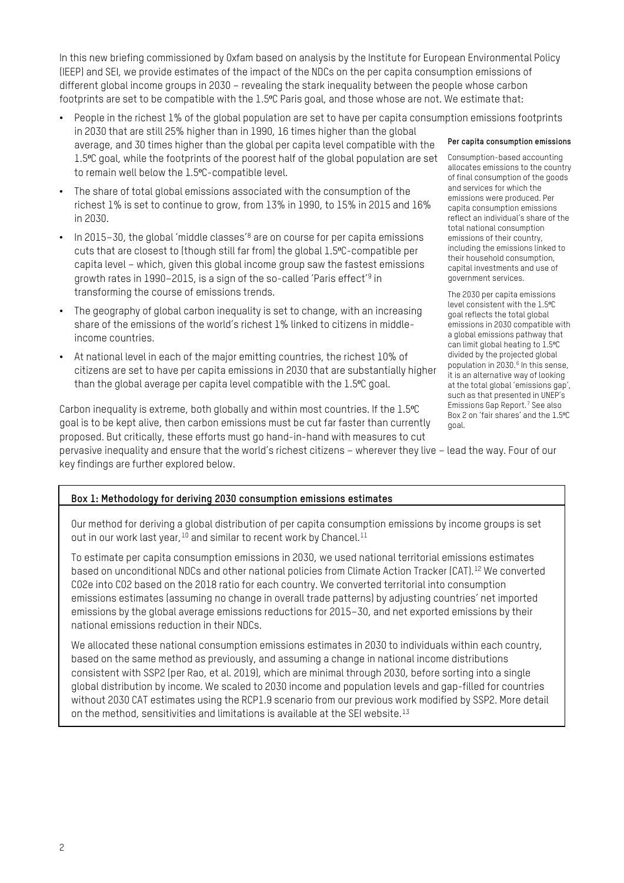In this new briefing commissioned by Oxfam based on analysis by the Institute for European Environmental Policy (IEEP) and SEI, we provide estimates of the impact of the NDCs on the per capita consumption emissions of different global income groups in 2030 – revealing the stark inequality between the people whose carbon footprints are set to be compatible with the 1.5°C Paris goal, and those whose are not. We estimate that:

- People in the richest 1% of the global population are set to have per capita consumption emissions footprints in 2030 that are still 25% higher than in 1990, 16 times higher than the global average, and 30 times higher than the global per capita level compatible with the 1.5<sup>o</sup>C goal, while the footprints of the poorest half of the global population are set to remain well below the 1.5°C-compatible level.
- The share of total global emissions associated with the consumption of the richest 1% is set to continue to grow, from 13% in 1990, to 15% in 2015 and 16% in 2030.
- In 2015–30, the global 'middle classes'<sup>[8](#page-9-5)</sup> are on course for per capita emissions cuts that are closest to (though still far from) the global 1.5⁰C-compatible per capita level – which, given this global income group saw the fastest emissions growth rates in 1990–2015, is a sign of the so-called 'Paris effect'[9](#page-9-6) in transforming the course of emissions trends.
- The geography of global carbon inequality is set to change, with an increasing share of the emissions of the world's richest 1% linked to citizens in middleincome countries.
- At national level in each of the major emitting countries, the richest 10% of citizens are set to have per capita emissions in 2030 that are substantially higher than the global average per capita level compatible with the 1.5°C goal.

Carbon inequality is extreme, both globally and within most countries. If the 1.5°C goal is to be kept alive, then carbon emissions must be cut far faster than currently proposed. But critically, these efforts must go hand-in-hand with measures to cut

#### **Per capita consumption emissions**

Consumption-based accounting allocates emissions to the country of final consumption of the goods and services for which the emissions were produced. Per capita consumption emissions reflect an individual's share of the total national consumption emissions of their country, including the emissions linked to their household consumption, capital investments and use of government services.

The 2030 per capita emissions level consistent with the 1.5°C goal reflects the total global emissions in 2030 compatible with a global emissions pathway that can limit global heating to 1.5 °C divided by the projected global population in 2030.<sup>[6](#page-9-11)</sup> In this sense, it is an alternative way of looking at the total global 'emissions gap', such as that presented in UNEP's Emissions Gap Report.[7](#page-9-12) See also Box 2 on 'fair shares' and the 1.5°C goal.

pervasive inequality and ensure that the world's richest citizens – wherever they live – lead the way. Four of our key findings are further explored below.

#### **Box 1: Methodology for deriving 2030 consumption emissions estimates**

Our method for deriving a global distribution of per capita consumption emissions by income groups is set out in our work last year, <sup>[10](#page-9-7)</sup> and similar to recent work by Chancel.<sup>[11](#page-9-8)</sup>

To estimate per capita consumption emissions in 2030, we used national territorial emissions estimates based on unconditional NDCs and other national policies from Climate Action Tracker (CAT).[12](#page-9-9) We converted CO2e into CO2 based on the 2018 ratio for each country. We converted territorial into consumption emissions estimates (assuming no change in overall trade patterns) by adjusting countries' net imported emissions by the global average emissions reductions for 2015–30, and net exported emissions by their national emissions reduction in their NDCs.

We allocated these national consumption emissions estimates in 2030 to individuals within each country, based on the same method as previously, and assuming a change in national income distributions consistent with SSP2 (per Rao, et al. 2019), which are minimal through 2030, before sorting into a single global distribution by income. We scaled to 2030 income and population levels and gap-filled for countries without 2030 CAT estimates using the RCP1.9 scenario from our previous work modified by SSP2. More detail on the method, sensitivities and limitations is available at the SEI website.[13](#page-9-10)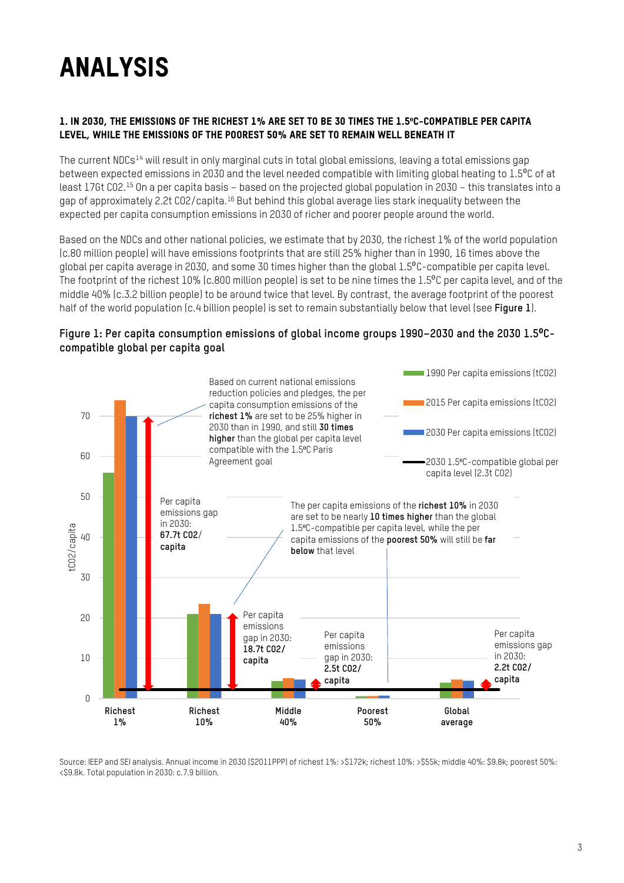# ANALYSIS

#### 1. In 2030, the emissions of the richest 1% are set to be 30 times the 1.5**⁰**C-compatible per capita level, while the emissions of the poorest 50% are set to remain well beneath it

The current NDCs[14](#page-9-13) will result in only marginal cuts in total global emissions, leaving a total emissions gap between expected emissions in 2030 and the level needed compatible with limiting global heating to 1.5<sup>o</sup>C of at least 17Gt CO2.[15](#page-9-14) On a per capita basis – based on the projected global population in 2030 – this translates into a gap of approximately 2.2t CO2/capita. <sup>[16](#page-9-15)</sup> But behind this global average lies stark inequality between the expected per capita consumption emissions in 2030 of richer and poorer people around the world.

Based on the NDCs and other national policies, we estimate that by 2030, the richest 1% of the world population (c.80 million people) will have emissions footprints that are still 25% higher than in 1990, 16 times above the global per capita average in 2030, and some 30 times higher than the global 1.5<sup>o</sup>C-compatible per capita level. The footprint of the richest 10% (c.800 million people) is set to be nine times the 1.5<sup>o</sup>C per capita level, and of the middle 40% (c.3.2 billion people) to be around twice that level. By contrast, the average footprint of the poorest half of the world population (c.4 billion people) is set to remain substantially below that level (see **Figure 1**).

#### **Figure 1: Per capita consumption emissions of global income groups 1990–2030 and the 2030 1.5**⁰**Ccompatible global per capita goal**



Source: IEEP and SEI analysis. Annual income in 2030 (\$2011PPP) of richest 1%: >\$172k; richest 10%: >\$55k; middle 40%: \$9.8k; poorest 50%: <\$9.8k. Total population in 2030: c.7.9 billion.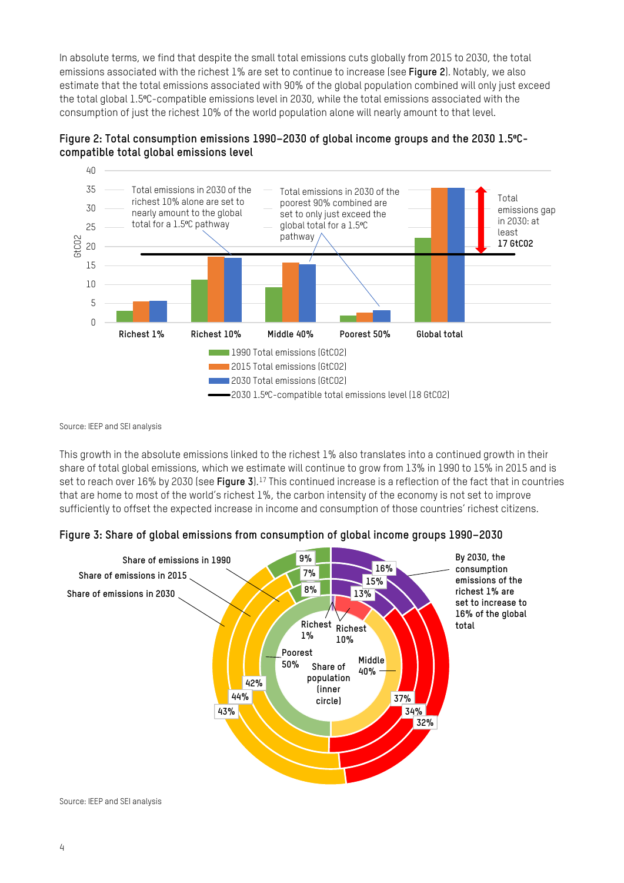In absolute terms, we find that despite the small total emissions cuts globally from 2015 to 2030, the total emissions associated with the richest 1% are set to continue to increase (see **Figure 2**). Notably, we also estimate that the total emissions associated with 90% of the global population combined will only just exceed the total global 1.5°C-compatible emissions level in 2030, while the total emissions associated with the consumption of just the richest 10% of the world population alone will nearly amount to that level.





Source: IEEP and SEI analysis

This growth in the absolute emissions linked to the richest 1% also translates into a continued growth in their share of total global emissions, which we estimate will continue to grow from 13% in 1990 to 15% in 2015 and is set to reach over 16% by 2030 (see **Figure 3**).[17](#page-9-16) This continued increase is a reflection of the fact that in countries that are home to most of the world's richest 1%, the carbon intensity of the economy is not set to improve sufficiently to offset the expected increase in income and consumption of those countries' richest citizens.

#### **Figure 3: Share of global emissions from consumption of global income groups 1990–2030**

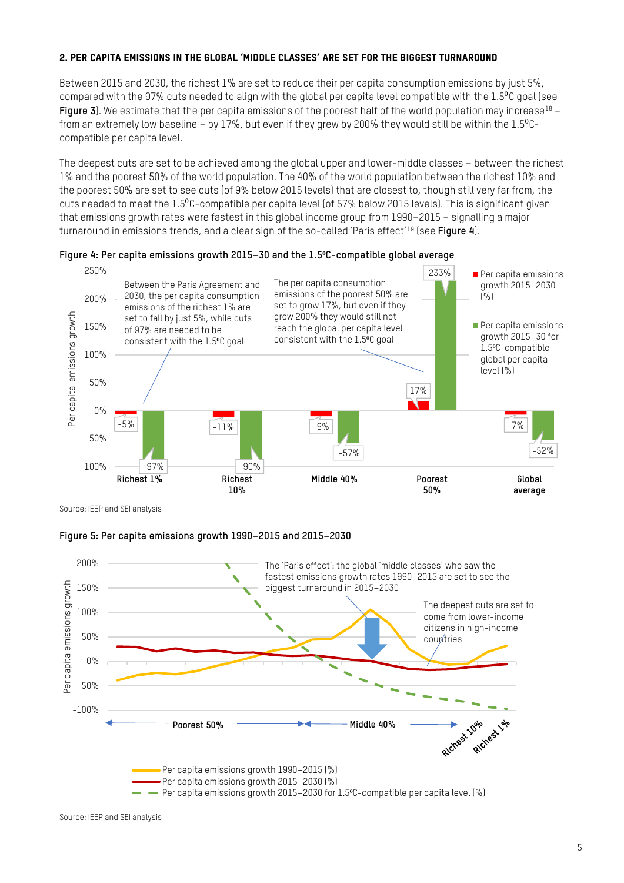#### 2. Per capita emissions in the global 'middle classes' are set for the biggest turnaround

Between 2015 and 2030, the richest 1% are set to reduce their per capita consumption emissions by just 5%, compared with the 97% cuts needed to align with the global per capita level compatible with the 1.5<sup>o</sup>C goal (see **Figure 3**). We estimate that the per capita emissions of the poorest half of the world population may increase<sup>[18](#page-9-17)</sup> – from an extremely low baseline – by 17%, but even if they grew by 200% they would still be within the  $1.5^{\circ}$ Ccompatible per capita level.

The deepest cuts are set to be achieved among the global upper and lower-middle classes – between the richest 1% and the poorest 50% of the world population. The 40% of the world population between the richest 10% and the poorest 50% are set to see cuts (of 9% below 2015 levels) that are closest to, though still very far from, the cuts needed to meet the 1.5<sup>o</sup>C-compatible per capita level (of 57% below 2015 levels). This is significant given that emissions growth rates were fastest in this global income group from 1990–2015 – signalling a major turnaround in emissions trends, and a clear sign of the so-called 'Paris effect['19](#page-9-18) (see **Figure 4**).



#### **Figure 4: Per capita emissions growth 2015–30 and the 1.5⁰C-compatible global average**

Source: IEEP and SEI analysis

#### **Figure 5: Per capita emissions growth 1990–2015 and 2015–2030**

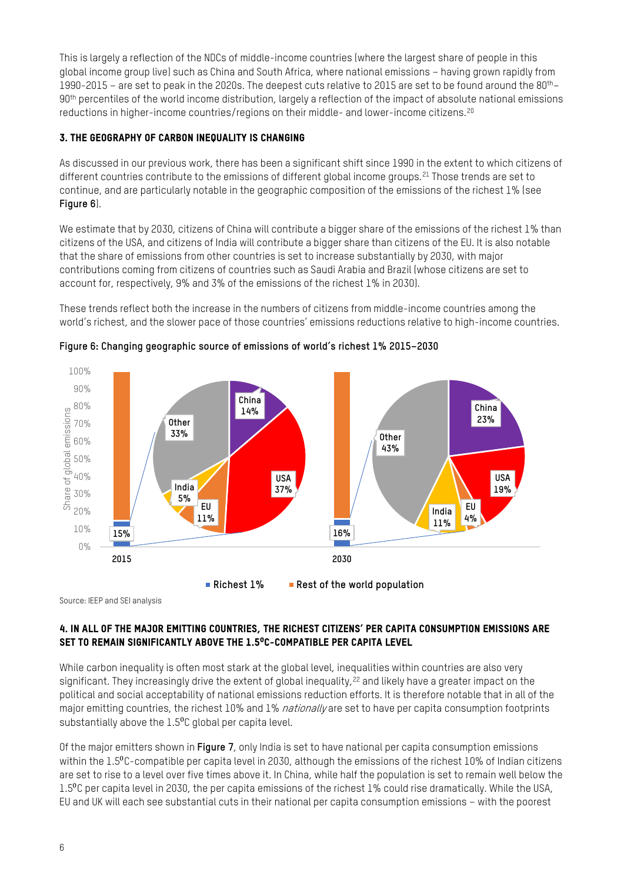This is largely a reflection of the NDCs of middle-income countries (where the largest share of people in this global income group live) such as China and South Africa, where national emissions – having grown rapidly from 1990-2015 – are set to peak in the 2020s. The deepest cuts relative to 2015 are set to be found around the  $80^{th}$ -90<sup>th</sup> percentiles of the world income distribution, largely a reflection of the impact of absolute national emissions reductions in higher-income countries/regions on their middle- and lower-income citizens.[20](#page-9-19)

#### 3. The geography of carbon inequality is changing

As discussed in our previous work, there has been a significant shift since 1990 in the extent to which citizens of different countries contribute to the emissions of different global income groups.<sup>[21](#page-9-20)</sup> Those trends are set to continue, and are particularly notable in the geographic composition of the emissions of the richest 1% (see **Figure 6**).

We estimate that by 2030, citizens of China will contribute a bigger share of the emissions of the richest 1% than citizens of the USA, and citizens of India will contribute a bigger share than citizens of the EU. It is also notable that the share of emissions from other countries is set to increase substantially by 2030, with major contributions coming from citizens of countries such as Saudi Arabia and Brazil (whose citizens are set to account for, respectively, 9% and 3% of the emissions of the richest 1% in 2030).

These trends reflect both the increase in the numbers of citizens from middle-income countries among the world's richest, and the slower pace of those countries' emissions reductions relative to high-income countries.



**Figure 6: Changing geographic source of emissions of world's richest 1% 2015–2030**

**Richest 1% Rest of the world population**

Source: IEEP and SEI analysis

#### 4. In all of the major emitting countries, the richest citizens' per capita consumption emissions are SET TO REMAIN SIGNIFICANTLY ABOVE THE 1.5<sup>°</sup>C-COMPATIBLE PER CAPITA LEVEL

While carbon inequality is often most stark at the global level, inequalities within countries are also very significant. They increasingly drive the extent of global inequality,<sup>[22](#page-9-21)</sup> and likely have a greater impact on the political and social acceptability of national emissions reduction efforts. It is therefore notable that in all of the major emitting countries, the richest 10% and 1% *nationally* are set to have per capita consumption footprints substantially above the 1.5<sup>o</sup>C global per capita level.

Of the major emitters shown in **Figure 7**, only India is set to have national per capita consumption emissions within the 1.5<sup>o</sup>C-compatible per capita level in 2030, although the emissions of the richest 10% of Indian citizens are set to rise to a level over five times above it. In China, while half the population is set to remain well below the 1.5<sup>o</sup>C per capita level in 2030, the per capita emissions of the richest 1% could rise dramatically. While the USA, EU and UK will each see substantial cuts in their national per capita consumption emissions – with the poorest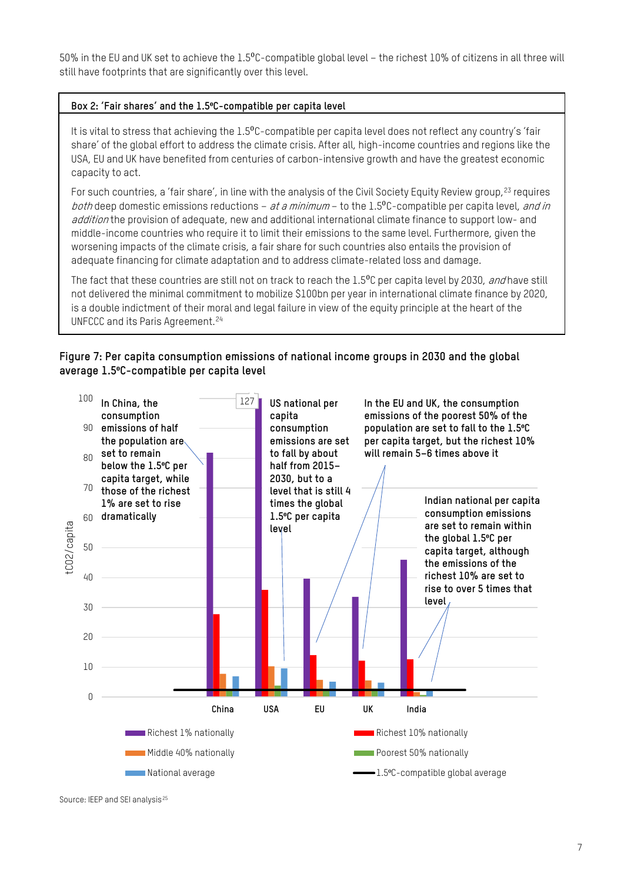50% in the EU and UK set to achieve the 1.5<sup>o</sup>C-compatible global level – the richest 10% of citizens in all three will still have footprints that are significantly over this level.

#### **Box 2: 'Fair shares' and the 1.5⁰C-compatible per capita level**

It is vital to stress that achieving the 1.5<sup>o</sup>C-compatible per capita level does not reflect any country's 'fair share' of the global effort to address the climate crisis. After all, high-income countries and regions like the USA, EU and UK have benefited from centuries of carbon-intensive growth and have the greatest economic capacity to act.

For such countries, a 'fair share', in line with the analysis of the Civil Society Equity Review group, <sup>[23](#page-9-22)</sup> requires both deep domestic emissions reductions – at a minimum – to the  $1.5^{\circ}$ C-compatible per capita level, and in addition the provision of adequate, new and additional international climate finance to support low- and middle-income countries who require it to limit their emissions to the same level. Furthermore, given the worsening impacts of the climate crisis, a fair share for such countries also entails the provision of adequate financing for climate adaptation and to address climate-related loss and damage.

The fact that these countries are still not on track to reach the 1.5<sup>o</sup>C per capita level by 2030, and have still not delivered the minimal commitment to mobilize \$100bn per year in international climate finance by 2020, is a double indictment of their moral and legal failure in view of the equity principle at the heart of the UNFCCC and its Paris Agreement.[24](#page-9-23)

#### **Figure 7: Per capita consumption emissions of national income groups in 2030 and the global average 1.5⁰C-compatible per capita level**



Source: IEEP and SEI analysis<sup>[25](#page-9-24)</sup>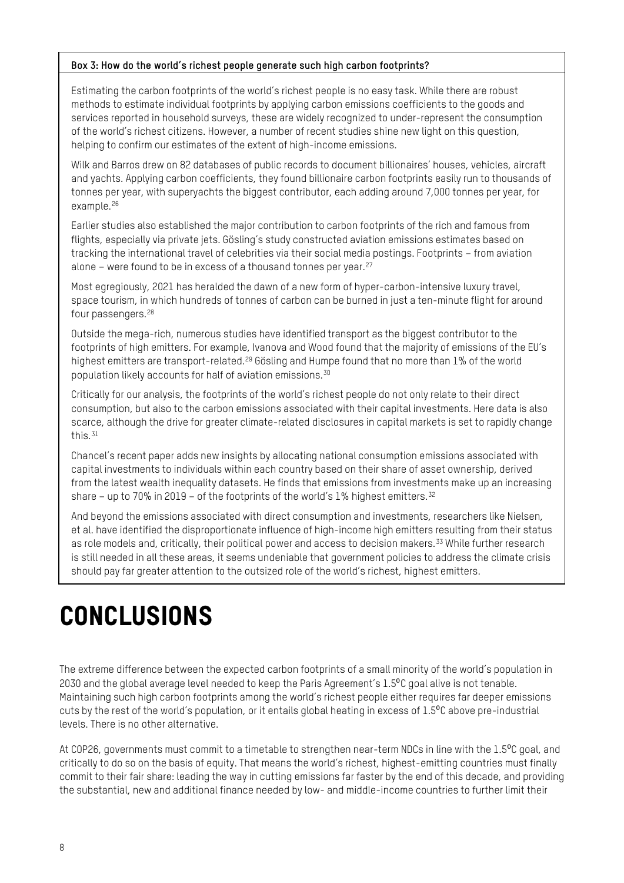#### **Box 3: How do the world's richest people generate such high carbon footprints?**

Estimating the carbon footprints of the world's richest people is no easy task. While there are robust methods to estimate individual footprints by applying carbon emissions coefficients to the goods and services reported in household surveys, these are widely recognized to under-represent the consumption of the world's richest citizens. However, a number of recent studies shine new light on this question, helping to confirm our estimates of the extent of high-income emissions.

Wilk and Barros drew on 82 databases of public records to document billionaires' houses, vehicles, aircraft and yachts. Applying carbon coefficients, they found billionaire carbon footprints easily run to thousands of tonnes per year, with superyachts the biggest contributor, each adding around 7,000 tonnes per year, for example.[26](#page-9-25)

Earlier studies also established the major contribution to carbon footprints of the rich and famous from flights, especially via private jets. Gösling's study constructed aviation emissions estimates based on tracking the international travel of celebrities via their social media postings. Footprints – from aviation alone – were found to be in excess of a thousand tonnes per year.[27](#page-9-26)

Most egregiously, 2021 has heralded the dawn of a new form of hyper-carbon-intensive luxury travel, space tourism, in which hundreds of tonnes of carbon can be burned in just a ten-minute flight for around four passengers.[28](#page-9-27)

Outside the mega-rich, numerous studies have identified transport as the biggest contributor to the footprints of high emitters. For example, Ivanova and Wood found that the majority of emissions of the EU's highest emitters are transport-related.<sup>[29](#page-9-28)</sup> Gösling and Humpe found that no more than 1% of the world population likely accounts for half of aviation emissions.[30](#page-9-29)

Critically for our analysis, the footprints of the world's richest people do not only relate to their direct consumption, but also to the carbon emissions associated with their capital investments. Here data is also scarce, although the drive for greater climate-related disclosures in capital markets is set to rapidly change this.[31](#page-9-30)

Chancel's recent paper adds new insights by allocating national consumption emissions associated with capital investments to individuals within each country based on their share of asset ownership, derived from the latest wealth inequality datasets. He finds that emissions from investments make up an increasing share – up to 70% in 2019 – of the footprints of the world's  $1\%$  highest emitters.<sup>[32](#page-9-31)</sup>

And beyond the emissions associated with direct consumption and investments, researchers like Nielsen, et al. have identified the disproportionate influence of high-income high emitters resulting from their status as role models and, critically, their political power and access to decision makers.<sup>[33](#page-9-32)</sup> While further research is still needed in all these areas, it seems undeniable that government policies to address the climate crisis should pay far greater attention to the outsized role of the world's richest, highest emitters.

# **CONCLUSIONS**

The extreme difference between the expected carbon footprints of a small minority of the world's population in 2030 and the global average level needed to keep the Paris Agreement's 1.5<sup>o</sup>C goal alive is not tenable. Maintaining such high carbon footprints among the world's richest people either requires far deeper emissions cuts by the rest of the world's population, or it entails global heating in excess of  $1.5^{\circ}$ C above pre-industrial levels. There is no other alternative.

At COP26, governments must commit to a timetable to strengthen near-term NDCs in line with the 1.5<sup>o</sup>C goal, and critically to do so on the basis of equity. That means the world's richest, highest-emitting countries must finally commit to their fair share: leading the way in cutting emissions far faster by the end of this decade, and providing the substantial, new and additional finance needed by low- and middle-income countries to further limit their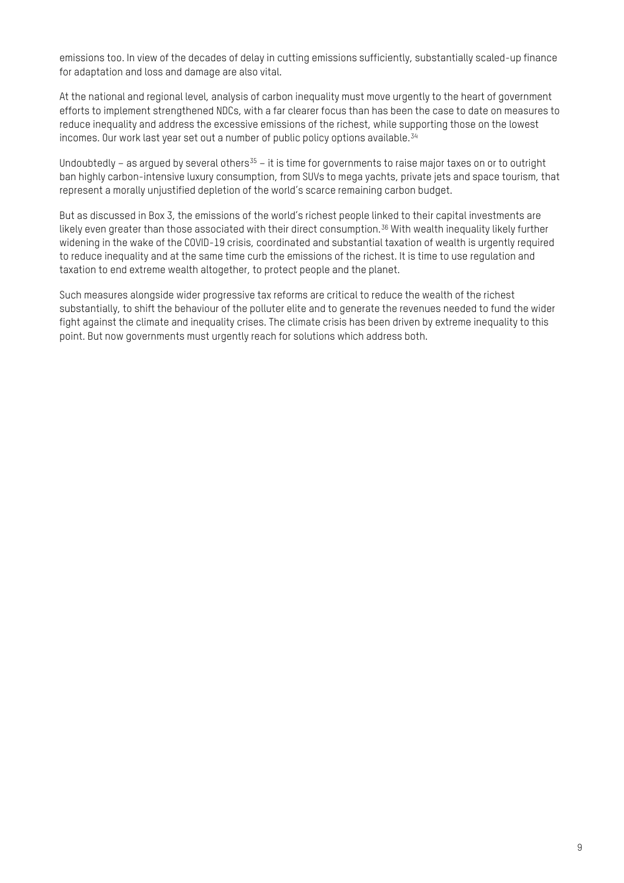emissions too. In view of the decades of delay in cutting emissions sufficiently, substantially scaled-up finance for adaptation and loss and damage are also vital.

At the national and regional level, analysis of carbon inequality must move urgently to the heart of government efforts to implement strengthened NDCs, with a far clearer focus than has been the case to date on measures to reduce inequality and address the excessive emissions of the richest, while supporting those on the lowest incomes. Our work last year set out a number of public policy options available.[34](#page-9-33)

Undoubtedly – as argued by several others<sup>35</sup> – it is time for governments to raise major taxes on or to outright ban highly carbon-intensive luxury consumption, from SUVs to mega yachts, private jets and space tourism, that represent a morally unjustified depletion of the world's scarce remaining carbon budget.

But as discussed in Box 3, the emissions of the world's richest people linked to their capital investments are likely even greater than those associated with their direct consumption.<sup>[36](#page-9-35)</sup> With wealth inequality likely further widening in the wake of the COVID-19 crisis, coordinated and substantial taxation of wealth is urgently required to reduce inequality and at the same time curb the emissions of the richest. It is time to use regulation and taxation to end extreme wealth altogether, to protect people and the planet.

Such measures alongside wider progressive tax reforms are critical to reduce the wealth of the richest substantially, to shift the behaviour of the polluter elite and to generate the revenues needed to fund the wider fight against the climate and inequality crises. The climate crisis has been driven by extreme inequality to this point. But now governments must urgently reach for solutions which address both.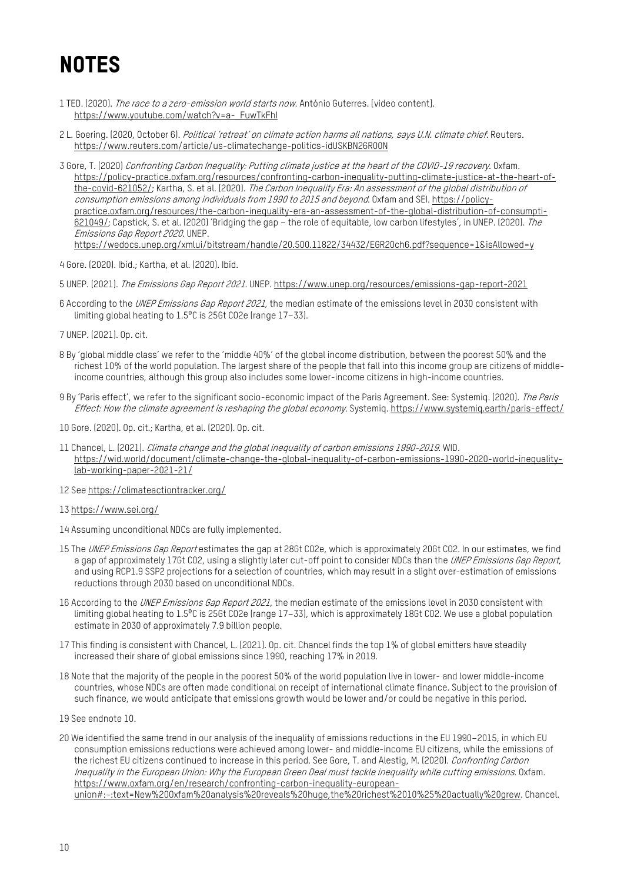### **NOTES**

- <span id="page-9-21"></span><span id="page-9-20"></span><span id="page-9-0"></span>1 TED. (2020). The race to a zero-emission world starts now. António Guterres. [video content]. [https://www.youtube.com/watch?v=a-\\_FuwTkFhI](https://www.youtube.com/watch?v=a-_FuwTkFhI)
- <span id="page-9-1"></span>2 L. Goering. (2020, October 6). Political 'retreat' on climate action harms all nations, says U.N. climate chief. Reuters. <https://www.reuters.com/article/us-climatechange-politics-idUSKBN26R00N>
- <span id="page-9-23"></span><span id="page-9-22"></span><span id="page-9-2"></span>3 Gore, T. (2020) Confronting Carbon Inequality: Putting climate justice at the heart of the COVID-19 recovery. Oxfam. [https://policy-practice.oxfam.org/resources/confronting-carbon-inequality-putting-climate-justice-at-the-heart-of](https://policy-practice.oxfam.org/resources/confronting-carbon-inequality-putting-climate-justice-at-the-heart-of-the-covid-621052/)[the-covid-621052/;](https://policy-practice.oxfam.org/resources/confronting-carbon-inequality-putting-climate-justice-at-the-heart-of-the-covid-621052/) Kartha, S. et al. (2020). The Carbon Inequality Era: An assessment of the global distribution of consumption emissions among individuals from 1990 to 2015 and beyond. Oxfam and SEI. [https://policy](https://policy-practice.oxfam.org/resources/the-carbon-inequality-era-an-assessment-of-the-global-distribution-of-consumpti-621049/)[practice.oxfam.org/resources/the-carbon-inequality-era-an-assessment-of-the-global-distribution-of-consumpti-](https://policy-practice.oxfam.org/resources/the-carbon-inequality-era-an-assessment-of-the-global-distribution-of-consumpti-621049/)[621049/;](https://policy-practice.oxfam.org/resources/the-carbon-inequality-era-an-assessment-of-the-global-distribution-of-consumpti-621049/) Capstick, S. et al. (2020) 'Bridging the gap – the role of equitable, low carbon lifestyles', in UNEP. (2020). The Emissions Gap Report 2020. UNEP. <https://wedocs.unep.org/xmlui/bitstream/handle/20.500.11822/34432/EGR20ch6.pdf?sequence=1&isAllowed=y>

<span id="page-9-24"></span><span id="page-9-3"></span>4 Gore. (2020). Ibid.; Kartha, et al. (2020). Ibid.

<span id="page-9-4"></span>5 UNEP. (2021). The Emissions Gap Report 2021. UNEP[. https://www.unep.org/resources/emissions-gap-report-2021](https://www.unep.org/resources/emissions-gap-report-2021)

- <span id="page-9-25"></span><span id="page-9-11"></span>6 According to the UNEP Emissions Gap Report 2021, the median estimate of the emissions level in 2030 consistent with limiting global heating to  $1.5^{\circ}$ C is 25Gt CO2e (range 17-33).
- <span id="page-9-12"></span>7 UNEP. (2021). Op. cit.
- <span id="page-9-26"></span><span id="page-9-5"></span>8 By 'global middle class' we refer to the 'middle 40%' of the global income distribution, between the poorest 50% and the richest 10% of the world population. The largest share of the people that fall into this income group are citizens of middleincome countries, although this group also includes some lower-income citizens in high-income countries.
- <span id="page-9-27"></span><span id="page-9-6"></span>9 By 'Paris effect', we refer to the significant socio-economic impact of the Paris Agreement. See: Systemig. (2020). The Paris Effect: How the climate agreement is reshaping the global economy. Systemiq. <https://www.systemiq.earth/paris-effect/>
- <span id="page-9-28"></span><span id="page-9-7"></span>10 Gore. (2020). Op. cit.; Kartha, et al. (2020). Op. cit.
- <span id="page-9-8"></span>11 Chancel, L. (2021). Climate change and the global inequality of carbon emissions 1990-2019. WID. [https://wid.world/document/climate-change-the-global-inequality-of-carbon-emissions-1990-2020-world-inequality](https://wid.world/document/climate-change-the-global-inequality-of-carbon-emissions-1990-2020-world-inequality-lab-working-paper-2021-21/)[lab-working-paper-2021-21/](https://wid.world/document/climate-change-the-global-inequality-of-carbon-emissions-1990-2020-world-inequality-lab-working-paper-2021-21/)
- <span id="page-9-29"></span><span id="page-9-9"></span>12 Se[e https://climateactiontracker.org/](https://climateactiontracker.org/)
- <span id="page-9-30"></span><span id="page-9-10"></span>13 <https://www.sei.org/>
- <span id="page-9-13"></span>14 Assuming unconditional NDCs are fully implemented.
- <span id="page-9-31"></span><span id="page-9-14"></span>15 The UNEP Emissions Gap Report estimates the gap at 28Gt CO2e, which is approximately 20Gt CO2. In our estimates, we find a gap of approximately 17Gt CO2, using a slightly later cut-off point to consider NDCs than the UNEP Emissions Gap Report, and using RCP1.9 SSP2 projections for a selection of countries, which may result in a slight over-estimation of emissions reductions through 2030 based on unconditional NDCs.
- <span id="page-9-32"></span><span id="page-9-15"></span>16 According to the UNEP Emissions Gap Report 2021, the median estimate of the emissions level in 2030 consistent with limiting global heating to 1.5<sup>o</sup>C is 25Gt CO2e (range 17–33), which is approximately 18Gt CO2. We use a global population estimate in 2030 of approximately 7.9 billion people.
- <span id="page-9-34"></span><span id="page-9-33"></span><span id="page-9-16"></span>17 This finding is consistent with Chancel, L. (2021). Op. cit. Chancel finds the top 1% of global emitters have steadily increased their share of global emissions since 1990, reaching 17% in 2019.
- <span id="page-9-17"></span>18 Note that the majority of the people in the poorest 50% of the world population live in lower- and lower middle-income countries, whose NDCs are often made conditional on receipt of international climate finance. Subject to the provision of such finance, we would anticipate that emissions growth would be lower and/or could be negative in this period.
- <span id="page-9-35"></span><span id="page-9-18"></span>19 See endnote 10.
- <span id="page-9-19"></span>20 We identified the same trend in our analysis of the inequality of emissions reductions in the EU 1990–2015, in which EU consumption emissions reductions were achieved among lower- and middle-income EU citizens, while the emissions of the richest EU citizens continued to increase in this period. See Gore, T. and Alestig, M. (2020). Confronting Carbon Inequality in the European Union: Why the European Green Deal must tackle inequality while cutting emissions. Oxfam. [https://www.oxfam.org/en/research/confronting-carbon-inequality-european](https://www.oxfam.org/en/research/confronting-carbon-inequality-european-union#:%7E:text=New%20Oxfam%20analysis%20reveals%20huge,the%20richest%2010%25%20actually%20grew.)[union#:~:text=New%20Oxfam%20analysis%20reveals%20huge,the%20richest%2010%25%20actually%20grew.](https://www.oxfam.org/en/research/confronting-carbon-inequality-european-union#:%7E:text=New%20Oxfam%20analysis%20reveals%20huge,the%20richest%2010%25%20actually%20grew.) Chancel.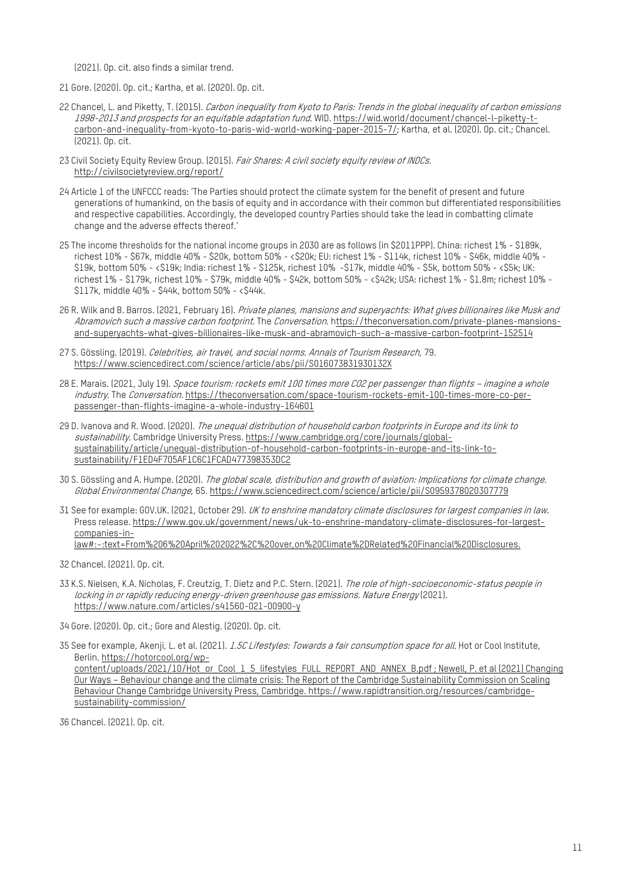(2021). Op. cit. also finds a similar trend.

- 21 Gore. (2020). Op. cit.; Kartha, et al. (2020). Op. cit.
- 22 Chancel, L. and Piketty, T. (2015). Carbon inequality from Kyoto to Paris: Trends in the global inequality of carbon emissions 1998-2013 and prospects for an equitable adaptation fund. WID[. https://wid.world/document/chancel-l-piketty-t](https://wid.world/document/chancel-l-piketty-t-carbon-and-inequality-from-kyoto-to-paris-wid-world-working-paper-2015-7/)[carbon-and-inequality-from-kyoto-to-paris-wid-world-working-paper-2015-7/;](https://wid.world/document/chancel-l-piketty-t-carbon-and-inequality-from-kyoto-to-paris-wid-world-working-paper-2015-7/) Kartha, et al. (2020). Op. cit.; Chancel. (2021). Op. cit.
- 23 Civil Society Equity Review Group. (2015). Fair Shares: A civil society equity review of INDCs. <http://civilsocietyreview.org/report/>
- 24 Article 1 of the UNFCCC reads: 'The Parties should protect the climate system for the benefit of present and future generations of humankind, on the basis of equity and in accordance with their common but differentiated responsibilities and respective capabilities. Accordingly, the developed country Parties should take the lead in combatting climate change and the adverse effects thereof.'
- 25 The income thresholds for the national income groups in 2030 are as follows (in \$2011PPP). China: richest 1% \$189k, richest 10% - \$67k, middle 40% - \$20k, bottom 50% - <\$20k; EU: richest 1% - \$114k, richest 10% - \$46k, middle 40% - \$19k, bottom 50% - <\$19k; India: richest 1% - \$125k, richest 10% -\$17k, middle 40% - \$5k, bottom 50% - <\$5k; UK: richest 1% - \$179k, richest 10% - \$79k, middle 40% - \$42k, bottom 50% - <\$42k; USA: richest 1% - \$1.8m; richest 10% - \$117k, middle 40% - \$44k, bottom 50% - <\$44k.
- 26 R. Wilk and B. Barros. (2021, February 16). Private planes, mansions and superyachts: What gives billionaires like Musk and Abramovich such a massive carbon footprint. The Conversation[. https://theconversation.com/private-planes-mansions](https://theconversation.com/private-planes-mansions-and-superyachts-what-gives-billionaires-like-musk-and-abramovich-such-a-massive-carbon-footprint-152514)[and-superyachts-what-gives-billionaires-like-musk-and-abramovich-such-a-massive-carbon-footprint-152514](https://theconversation.com/private-planes-mansions-and-superyachts-what-gives-billionaires-like-musk-and-abramovich-such-a-massive-carbon-footprint-152514)
- 27 S. Gössling. (2019). Celebrities, air travel, and social norms. Annals of Tourism Research, 79. <https://www.sciencedirect.com/science/article/abs/pii/S016073831930132X>
- 28 E. Marais. (2021, July 19). Space tourism: rockets emit 100 times more CO2 per passenger than flights imagine a whole industry. The Conversation. [https://theconversation.com/space-tourism-rockets-emit-100-times-more-co-per](https://theconversation.com/space-tourism-rockets-emit-100-times-more-co-per-passenger-than-flights-imagine-a-whole-industry-164601)[passenger-than-flights-imagine-a-whole-industry-164601](https://theconversation.com/space-tourism-rockets-emit-100-times-more-co-per-passenger-than-flights-imagine-a-whole-industry-164601)
- 29 D. Ivanova and R. Wood. (2020). The unequal distribution of household carbon footprints in Europe and its link to sustainability. Cambridge University Press[. https://www.cambridge.org/core/journals/global](https://www.cambridge.org/core/journals/global-sustainability/article/unequal-distribution-of-household-carbon-footprints-in-europe-and-its-link-to-sustainability/F1ED4F705AF1C6C1FCAD477398353DC2)[sustainability/article/unequal-distribution-of-household-carbon-footprints-in-europe-and-its-link-to](https://www.cambridge.org/core/journals/global-sustainability/article/unequal-distribution-of-household-carbon-footprints-in-europe-and-its-link-to-sustainability/F1ED4F705AF1C6C1FCAD477398353DC2)[sustainability/F1ED4F705AF1C6C1FCAD477398353DC2](https://www.cambridge.org/core/journals/global-sustainability/article/unequal-distribution-of-household-carbon-footprints-in-europe-and-its-link-to-sustainability/F1ED4F705AF1C6C1FCAD477398353DC2)
- 30 S. Gössling and A. Humpe. (2020). The global scale, distribution and growth of aviation: Implications for climate change. Global Environmental Change, 65[. https://www.sciencedirect.com/science/article/pii/S0959378020307779](https://www.sciencedirect.com/science/article/pii/S0959378020307779)
- 31 See for example: GOV.UK. (2021, October 29). UK to enshrine mandatory climate disclosures for largest companies in law. Press release. [https://www.gov.uk/government/news/uk-to-enshrine-mandatory-climate-disclosures-for-largest](https://www.gov.uk/government/news/uk-to-enshrine-mandatory-climate-disclosures-for-largest-companies-in-law#:%7E:text=From%206%20April%202022%2C%20over,on%20Climate%2DRelated%20Financial%20Disclosures.)[companies-in](https://www.gov.uk/government/news/uk-to-enshrine-mandatory-climate-disclosures-for-largest-companies-in-law#:%7E:text=From%206%20April%202022%2C%20over,on%20Climate%2DRelated%20Financial%20Disclosures.)[law#:~:text=From%206%20April%202022%2C%20over,on%20Climate%2DRelated%20Financial%20Disclosures.](https://www.gov.uk/government/news/uk-to-enshrine-mandatory-climate-disclosures-for-largest-companies-in-law#:%7E:text=From%206%20April%202022%2C%20over,on%20Climate%2DRelated%20Financial%20Disclosures.)
- 32 Chancel. (2021). Op. cit.
- 33 K.S. Nielsen, K.A. Nicholas, F. Creutzig, T. Dietz and P.C. Stern. (2021). The role of high-socioeconomic-status people in locking in or rapidly reducing energy-driven greenhouse gas emissions. Nature Energy (2021). <https://www.nature.com/articles/s41560-021-00900-y>

34 Gore. (2020). Op. cit.; Gore and Alestig. (2020). Op. cit.

35 See for example, Akenji, L. et al. (2021). *1.5C Lifestyles: Towards a fair consumption space for all*. Hot or Cool Institute, Berlin. [https://hotorcool.org/wp](https://hotorcool.org/wp-content/uploads/2021/10/Hot_or_Cool_1_5_lifestyles_FULL_REPORT_AND_ANNEX_B.pdf)[content/uploads/2021/10/Hot\\_or\\_Cool\\_1\\_5\\_lifestyles\\_FULL\\_REPORT\\_AND\\_ANNEX\\_B.pdf](https://hotorcool.org/wp-content/uploads/2021/10/Hot_or_Cool_1_5_lifestyles_FULL_REPORT_AND_ANNEX_B.pdf) ; Newell, P. et al (2021) Changing Our Ways – Behaviour change and the climate crisis: The Report of the Cambridge Sustainability Commission on Scaling Behaviour Change Cambridge University Press, Cambridge[. https://www.rapidtransition.org/resources/cambridge](https://www.rapidtransition.org/resources/cambridge-sustainability-commission/)[sustainability-commission/](https://www.rapidtransition.org/resources/cambridge-sustainability-commission/)

36 Chancel. (2021). Op. cit.